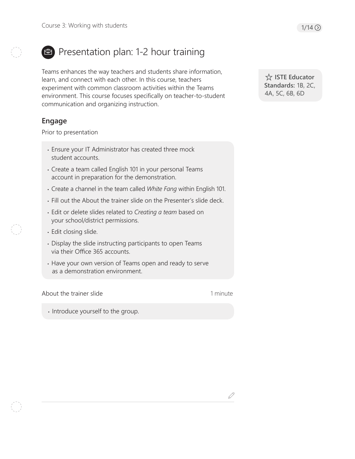

# Presentation plan: 1-2 hour training

Teams enhances the way teachers and students share information, learn, and connect with each other. In this course, teachers experiment with common classroom activities within the Teams environment. This course focuses specifically on teacher-to-student communication and organizing instruction.

# **Engage**

Prior to presentation

- Ensure your IT Administrator has created three mock student accounts.
- Create a team called English 101 in your personal Teams account in preparation for the demonstration.
- Create a channel in the team called *White Fang* within English 101.
- Fill out the About the trainer slide on the Presenter's slide deck.
- Edit or delete slides related to *Creating a team* based on your school/district permissions.
- Edit closing slide.
- Display the slide instructing participants to open Teams via their Office 365 accounts.
- Have your own version of Teams open and ready to serve as a demonstration environment.

About the trainer slide

1 minute

• Introduce yourself to the group.

 **ISTE Educator Standards:** 1B, 2C, 4A, 5C, 6B, 6D

D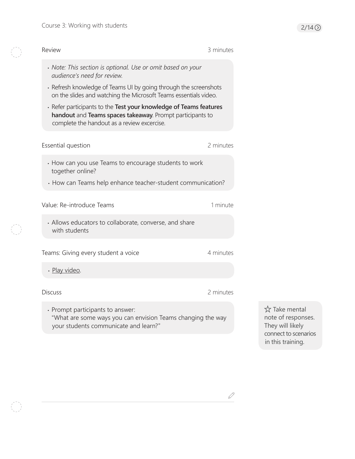$\begin{pmatrix} 1 & 1 \\ 1 & 1 \end{pmatrix}$ 

 $\begin{pmatrix} 1 \\ 1 \end{pmatrix}$ 

| Review                                                                                                                                                                                                                                                                                                                                                                                                              | 3 minutes |                                                                                                      |
|---------------------------------------------------------------------------------------------------------------------------------------------------------------------------------------------------------------------------------------------------------------------------------------------------------------------------------------------------------------------------------------------------------------------|-----------|------------------------------------------------------------------------------------------------------|
| • Note: This section is optional. Use or omit based on your<br>audience's need for review.<br>• Refresh knowledge of Teams UI by going through the screenshots<br>on the slides and watching the Microsoft Teams essentials video.<br>· Refer participants to the Test your knowledge of Teams features<br>handout and Teams spaces takeaway. Prompt participants to<br>complete the handout as a review excercise. |           |                                                                                                      |
| Essential question                                                                                                                                                                                                                                                                                                                                                                                                  | 2 minutes |                                                                                                      |
| • How can you use Teams to encourage students to work<br>together online?<br>• How can Teams help enhance teacher-student communication?                                                                                                                                                                                                                                                                            |           |                                                                                                      |
| Value: Re-introduce Teams<br>• Allows educators to collaborate, converse, and share                                                                                                                                                                                                                                                                                                                                 | 1 minute  |                                                                                                      |
| with students                                                                                                                                                                                                                                                                                                                                                                                                       |           |                                                                                                      |
| Teams: Giving every student a voice<br>· Play video.                                                                                                                                                                                                                                                                                                                                                                | 4 minutes |                                                                                                      |
| <b>Discuss</b>                                                                                                                                                                                                                                                                                                                                                                                                      | 2 minutes |                                                                                                      |
| • Prompt participants to answer:<br>"What are some ways you can envision Teams changing the way<br>your students communicate and learn?"                                                                                                                                                                                                                                                                            |           | ☆ Take mental<br>note of responses.<br>They will likely<br>connect to scenarios<br>in this training. |

 $\mathscr{S}$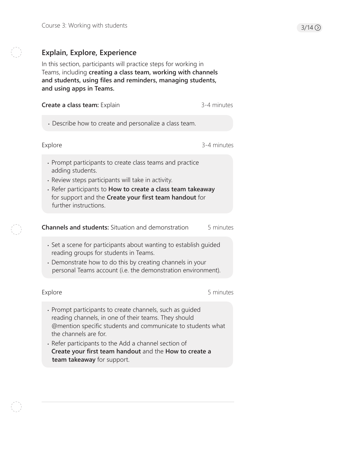# **Explain, Explore, Experience**

In this section, participants will practice steps for working in Teams, including **creating a class team, working with channels and students, using files and reminders, managing students, and using apps in Teams.**

| Create a class team: Explain                                                                                                                                                                                                                                                                                                                             | 3-4 minutes |  |
|----------------------------------------------------------------------------------------------------------------------------------------------------------------------------------------------------------------------------------------------------------------------------------------------------------------------------------------------------------|-------------|--|
| • Describe how to create and personalize a class team.                                                                                                                                                                                                                                                                                                   |             |  |
| Explore                                                                                                                                                                                                                                                                                                                                                  | 3-4 minutes |  |
| • Prompt participants to create class teams and practice<br>adding students.<br>· Review steps participants will take in activity.<br>· Refer participants to How to create a class team takeaway<br>for support and the Create your first team handout for<br>further instructions.                                                                     |             |  |
| <b>Channels and students:</b> Situation and demonstration                                                                                                                                                                                                                                                                                                | 5 minutes   |  |
| · Set a scene for participants about wanting to establish quided<br>reading groups for students in Teams.<br>• Demonstrate how to do this by creating channels in your<br>personal Teams account (i.e. the demonstration environment).                                                                                                                   |             |  |
| Explore                                                                                                                                                                                                                                                                                                                                                  | 5 minutes   |  |
| · Prompt participants to create channels, such as guided<br>reading channels, in one of their teams. They should<br>@mention specific students and communicate to students what<br>the channels are for.<br>• Refer participants to the Add a channel section of<br>Create your first team handout and the How to create a<br>team takeaway for support. |             |  |
|                                                                                                                                                                                                                                                                                                                                                          |             |  |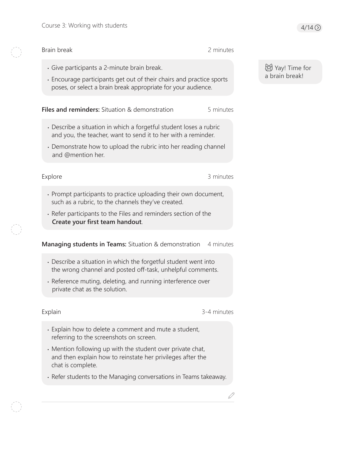#### Brain break

- Give participants a 2-minute brain break.
- Encourage participants get out of their chairs and practice sports poses, or select a brain break appropriate for your audience.

**Files and reminders:** Situation & demonstration 5 minutes

- Describe a situation in which a forgetful student loses a rubric and you, the teacher, want to send it to her with a reminder.
- Demonstrate how to upload the rubric into her reading channel and @mention her.

#### Explore 3 minutes

2 minutes

- Prompt participants to practice uploading their own document, such as a rubric, to the channels they've created.
- Refer participants to the Files and reminders section of the **Create your first team handout**.

#### **Managing students in Teams:** Situation & demonstration 4 minutes

- Describe a situation in which the forgetful student went into the wrong channel and posted off-task, unhelpful comments.
- Reference muting, deleting, and running interference over private chat as the solution.

#### Explain 3-4 minutes

D

- Explain how to delete a comment and mute a student, referring to the screenshots on screen.
- Mention following up with the student over private chat, and then explain how to reinstate her privileges after the chat is complete.
- Refer students to the Managing conversations in Teams takeaway.

# Yay! Time for a brain break!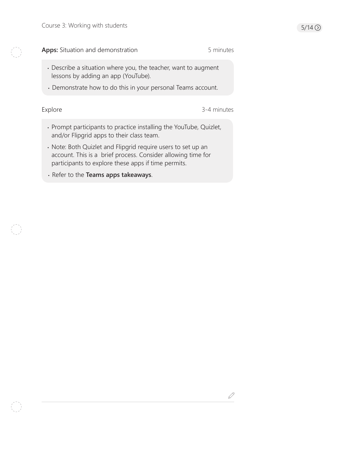#### Apps: Situation and demonstration 6 minutes

- Describe a situation where you, the teacher, want to augment lessons by adding an app (YouTube).
- Demonstrate how to do this in your personal Teams account.

Explore 3-4 minutes

 $\mathscr{Q}$ 

- Prompt participants to practice installing the YouTube, Quizlet, and/or Flipgrid apps to their class team.
- Note: Both Quizlet and Flipgrid require users to set up an account. This is a brief process. Consider allowing time for participants to explore these apps if time permits.
- Refer to the **Teams apps takeaways**.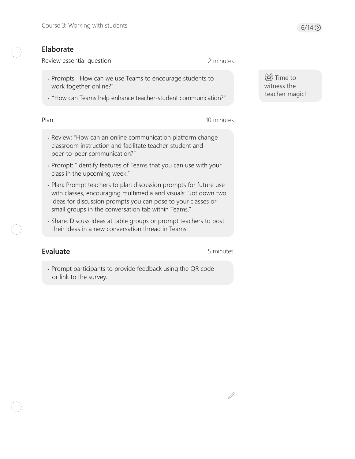### **Elaborate**

Review essential question

2 minutes

- Prompts: "How can we use Teams to encourage students to work together online?"
- "How can Teams help enhance teacher-student communication?"

Plan

10 minutes

- Review: "How can an online communication platform change classroom instruction and facilitate teacher-student and peer-to-peer communication?"
- Prompt: "Identify features of Teams that you can use with your class in the upcoming week."
- Plan: Prompt teachers to plan discussion prompts for future use with classes, encouraging multimedia and visuals: "Jot down two ideas for discussion prompts you can pose to your classes or small groups in the conversation tab within Teams."
- Share: Discuss ideas at table groups or prompt teachers to post their ideas in a new conversation thread in Teams.

# **Evaluate**

5 minutes

D

• Prompt participants to provide feedback using the QR code or link to the survey.

**词**Time to witness the teacher magic!

 $6/14$   $\odot$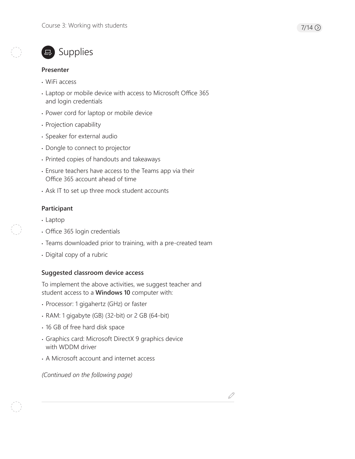

# ■ Supplies

#### **Presenter**

- WiFi access
- Laptop or mobile device with access to Microsoft Office 365 and login credentials
- Power cord for laptop or mobile device
- Projection capability
- Speaker for external audio
- Dongle to connect to projector
- Printed copies of handouts and takeaways
- Ensure teachers have access to the Teams app via their Office 365 account ahead of time
- Ask IT to set up three mock student accounts

### **Participant**

- Laptop
- Office 365 login credentials
- Teams downloaded prior to training, with a pre-created team
- Digital copy of a rubric

### **Suggested classroom device access**

To implement the above activities, we suggest teacher and student access to a **Windows 10** computer with:

- Processor: 1 gigahertz (GHz) or faster
- RAM: 1 gigabyte (GB) (32-bit) or 2 GB (64-bit)
- 16 GB of free hard disk space
- Graphics card: Microsoft DirectX 9 graphics device with WDDM driver
- A Microsoft account and internet access

*(Continued on the following page)*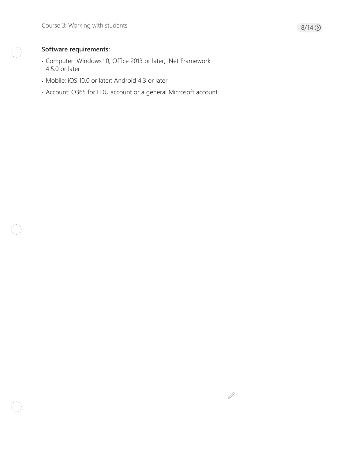# **Software requirements:**

- Computer: Windows 10; Office 2013 or later; .Net Framework 4.5.0 or later
- Mobile: iOS 10.0 or later; Android 4.3 or later
- Account: O365 for EDU account or a general Microsoft account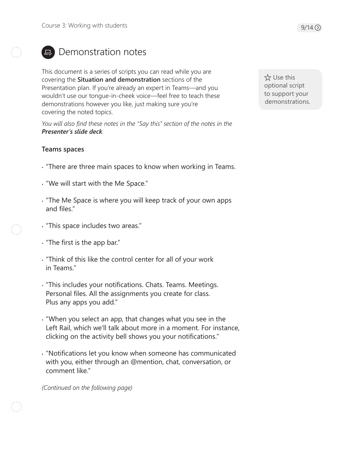

# **E.** Demonstration notes

This document is a series of scripts you can read while you are covering the **Situation and demonstration** sections of the Presentation plan. If you're already an expert in Teams—and you wouldn't use our tongue-in-cheek voice—feel free to teach these demonstrations however you like, just making sure you're covering the noted topics.

*You will also find these notes in the "Say this" section of the notes in the Presenter's slide deck.*

# **Teams spaces**

- "There are three main spaces to know when working in Teams.
- "We will start with the Me Space."
- "The Me Space is where you will keep track of your own apps and files."
- "This space includes two areas."
- "The first is the app bar."
- "Think of this like the control center for all of your work in Teams."
- "This includes your notifications. Chats. Teams. Meetings. Personal files. All the assignments you create for class. Plus any apps you add."
- "When you select an app, that changes what you see in the Left Rail, which we'll talk about more in a moment. For instance, clicking on the activity bell shows you your notifications."
- "Notifications let you know when someone has communicated with you, either through an @mention, chat, conversation, or comment like."

*(Continued on the following page)* 

 Use this optional script to support your demonstrations.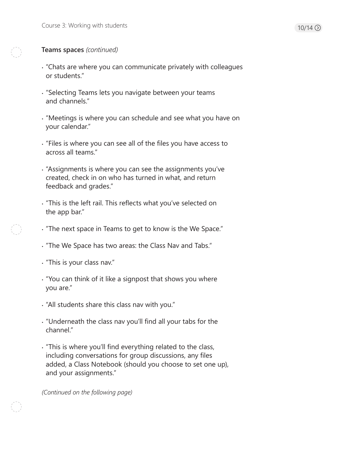#### **Teams spaces** *(continued)*

- "Chats are where you can communicate privately with colleagues or students."
- "Selecting Teams lets you navigate between your teams and channels."
- "Meetings is where you can schedule and see what you have on your calendar."
- "Files is where you can see all of the files you have access to across all teams."
- "Assignments is where you can see the assignments you've created, check in on who has turned in what, and return feedback and grades."
- "This is the left rail. This reflects what you've selected on the app bar."
- "The next space in Teams to get to know is the We Space."
- "The We Space has two areas: the Class Nav and Tabs."
- "This is your class nav."
- "You can think of it like a signpost that shows you where you are."
- "All students share this class nav with you."
- "Underneath the class nav you'll find all your tabs for the channel."
- "This is where you'll find everything related to the class, including conversations for group discussions, any files added, a Class Notebook (should you choose to set one up), and your assignments."

*(Continued on the following page)*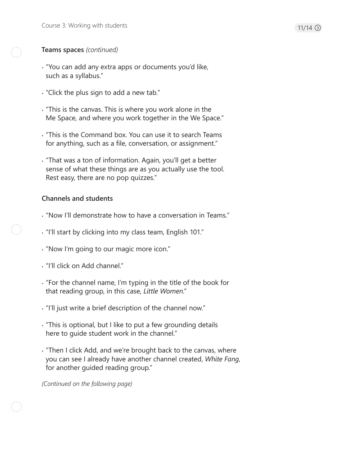### **Teams spaces** *(continued)*

- "You can add any extra apps or documents you'd like, such as a syllabus."
- "Click the plus sign to add a new tab."
- "This is the canvas. This is where you work alone in the Me Space, and where you work together in the We Space."
- "This is the Command box. You can use it to search Teams for anything, such as a file, conversation, or assignment."
- "That was a ton of information. Again, you'll get a better sense of what these things are as you actually use the tool. Rest easy, there are no pop quizzes."

# **Channels and students**

- "Now I'll demonstrate how to have a conversation in Teams."
- "I'll start by clicking into my class team, English 101."
- "Now I'm going to our magic more icon."
- "I'll click on Add channel."
- "For the channel name, I'm typing in the title of the book for that reading group, in this case, *Little Women*."
- "I'll just write a brief description of the channel now."
- "This is optional, but I like to put a few grounding details here to guide student work in the channel."
- "Then I click Add, and we're brought back to the canvas, where you can see I already have another channel created, *White Fang*, for another guided reading group."

*(Continued on the following page)*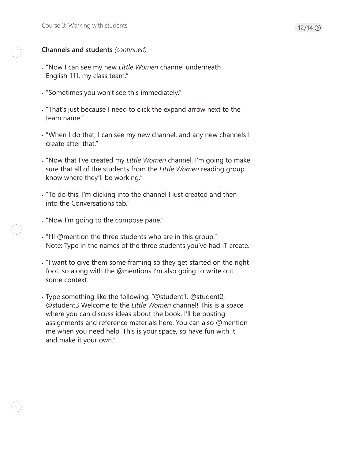### **Channels and students** *(continued)*

- "Now I can see my new *Little Women* channel underneath English 111, my class team."
- "Sometimes you won't see this immediately."
- "That's just because I need to click the expand arrow next to the team name."
- "When I do that, I can see my new channel, and any new channels I create after that."
- "Now that I've created my *Little Women* channel, I'm going to make sure that all of the students from the *Little Women* reading group know where they'll be working."
- "To do this, I'm clicking into the channel I just created and then into the Conversations tab."
- "Now I'm going to the compose pane."
- "I'll @mention the three students who are in this group." Note: Type in the names of the three students you've had IT create.
- "I want to give them some framing so they get started on the right foot, so along with the @mentions I'm also going to write out some context.
- Type something like the following: "@student1, @student2, @student3 Welcome to the *Little Women* channel! This is a space where you can discuss ideas about the book. I'll be posting assignments and reference materials here. You can also @mention me when you need help. This is your space, so have fun with it and make it your own."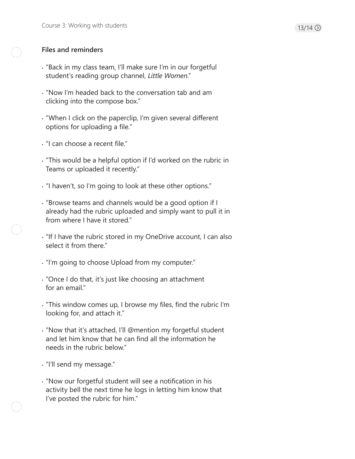### **Files and reminders**

- "Back in my class team, I'll make sure I'm in our forgetful student's reading group channel, *Little Women*."
- "Now I'm headed back to the conversation tab and am clicking into the compose box."
- "When I click on the paperclip, I'm given several different options for uploading a file."
- "I can choose a recent file."
- "This would be a helpful option if I'd worked on the rubric in Teams or uploaded it recently."
- "I haven't, so I'm going to look at these other options."
- "Browse teams and channels would be a good option if I already had the rubric uploaded and simply want to pull it in from where I have it stored."
- "If I have the rubric stored in my OneDrive account, I can also select it from there."
- "I'm going to choose Upload from my computer."
- "Once I do that, it's just like choosing an attachment for an email."
- "This window comes up, I browse my files, find the rubric I'm looking for, and attach it."
- "Now that it's attached, I'll @mention my forgetful student and let him know that he can find all the information he needs in the rubric below."
- "I'll send my message."
- "Now our forgetful student will see a notification in his activity bell the next time he logs in letting him know that I've posted the rubric for him."